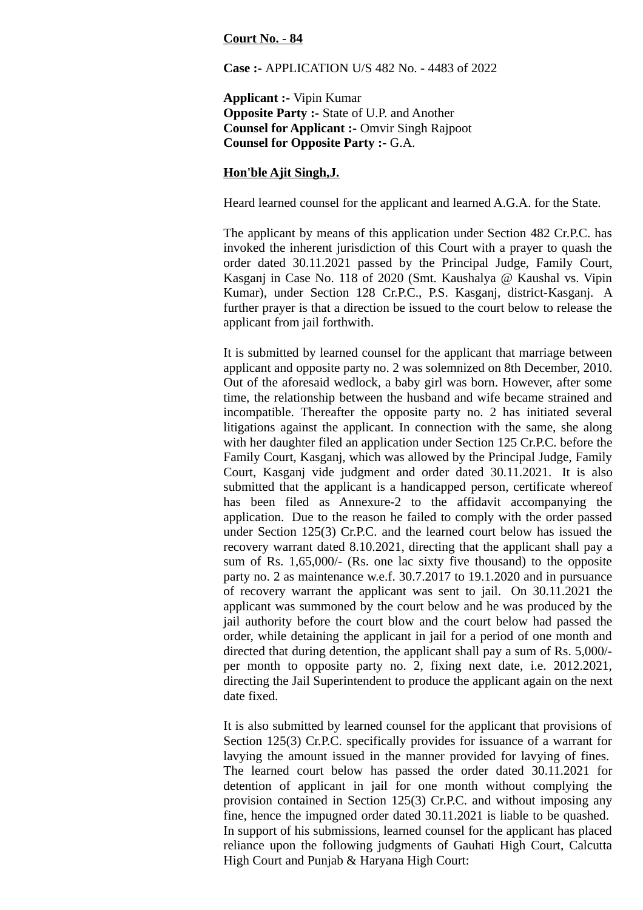## **Court No. - 84**

**Case :-** APPLICATION U/S 482 No. - 4483 of 2022

**Applicant :-** Vipin Kumar **Opposite Party :-** State of U.P. and Another **Counsel for Applicant :-** Omvir Singh Rajpoot **Counsel for Opposite Party :-** G.A.

## **Hon'ble Ajit Singh,J.**

Heard learned counsel for the applicant and learned A.G.A. for the State.

The applicant by means of this application under Section 482 Cr.P.C. has invoked the inherent jurisdiction of this Court with a prayer to quash the order dated 30.11.2021 passed by the Principal Judge, Family Court, Kasganj in Case No. 118 of 2020 (Smt. Kaushalya @ Kaushal vs. Vipin Kumar), under Section 128 Cr.P.C., P.S. Kasganj, district-Kasganj. A further prayer is that a direction be issued to the court below to release the applicant from jail forthwith.

It is submitted by learned counsel for the applicant that marriage between applicant and opposite party no. 2 was solemnized on 8th December, 2010. Out of the aforesaid wedlock, a baby girl was born. However, after some time, the relationship between the husband and wife became strained and incompatible. Thereafter the opposite party no. 2 has initiated several litigations against the applicant. In connection with the same, she along with her daughter filed an application under Section 125 Cr.P.C. before the Family Court, Kasganj, which was allowed by the Principal Judge, Family Court, Kasganj vide judgment and order dated 30.11.2021. It is also submitted that the applicant is a handicapped person, certificate whereof has been filed as Annexure-2 to the affidavit accompanying the application. Due to the reason he failed to comply with the order passed under Section 125(3) Cr.P.C. and the learned court below has issued the recovery warrant dated 8.10.2021, directing that the applicant shall pay a sum of Rs. 1,65,000/- (Rs. one lac sixty five thousand) to the opposite party no. 2 as maintenance w.e.f. 30.7.2017 to 19.1.2020 and in pursuance of recovery warrant the applicant was sent to jail. On 30.11.2021 the applicant was summoned by the court below and he was produced by the jail authority before the court blow and the court below had passed the order, while detaining the applicant in jail for a period of one month and directed that during detention, the applicant shall pay a sum of Rs. 5,000/ per month to opposite party no. 2, fixing next date, i.e. 2012.2021, directing the Jail Superintendent to produce the applicant again on the next date fixed.

It is also submitted by learned counsel for the applicant that provisions of Section 125(3) Cr.P.C. specifically provides for issuance of a warrant for lavying the amount issued in the manner provided for lavying of fines. The learned court below has passed the order dated 30.11.2021 for detention of applicant in jail for one month without complying the provision contained in Section 125(3) Cr.P.C. and without imposing any fine, hence the impugned order dated 30.11.2021 is liable to be quashed. In support of his submissions, learned counsel for the applicant has placed reliance upon the following judgments of Gauhati High Court, Calcutta High Court and Punjab & Haryana High Court: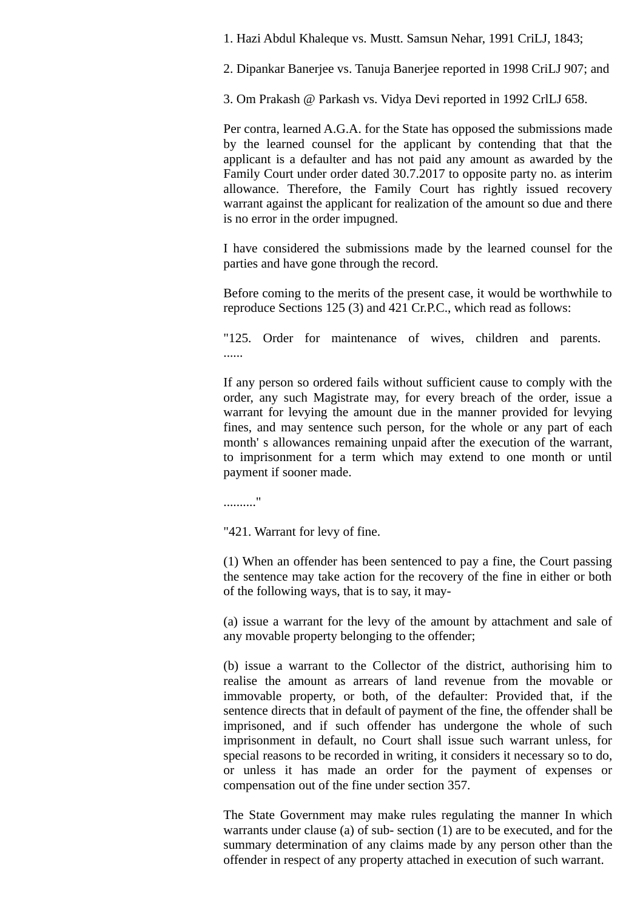1. Hazi Abdul Khaleque vs. Mustt. Samsun Nehar, 1991 CriLJ, 1843;

2. Dipankar Banerjee vs. Tanuja Banerjee reported in 1998 CriLJ 907; and

3. Om Prakash @ Parkash vs. Vidya Devi reported in 1992 CrlLJ 658.

Per contra, learned A.G.A. for the State has opposed the submissions made by the learned counsel for the applicant by contending that that the applicant is a defaulter and has not paid any amount as awarded by the Family Court under order dated 30.7.2017 to opposite party no. as interim allowance. Therefore, the Family Court has rightly issued recovery warrant against the applicant for realization of the amount so due and there is no error in the order impugned.

I have considered the submissions made by the learned counsel for the parties and have gone through the record.

Before coming to the merits of the present case, it would be worthwhile to reproduce Sections 125 (3) and 421 Cr.P.C., which read as follows:

"125. Order for maintenance of wives, children and parents. ......

If any person so ordered fails without sufficient cause to comply with the order, any such Magistrate may, for every breach of the order, issue a warrant for levying the amount due in the manner provided for levying fines, and may sentence such person, for the whole or any part of each month' s allowances remaining unpaid after the execution of the warrant, to imprisonment for a term which may extend to one month or until payment if sooner made.

.........."

"421. Warrant for levy of fine.

(1) When an offender has been sentenced to pay a fine, the Court passing the sentence may take action for the recovery of the fine in either or both of the following ways, that is to say, it may-

(a) issue a warrant for the levy of the amount by attachment and sale of any movable property belonging to the offender;

(b) issue a warrant to the Collector of the district, authorising him to realise the amount as arrears of land revenue from the movable or immovable property, or both, of the defaulter: Provided that, if the sentence directs that in default of payment of the fine, the offender shall be imprisoned, and if such offender has undergone the whole of such imprisonment in default, no Court shall issue such warrant unless, for special reasons to be recorded in writing, it considers it necessary so to do, or unless it has made an order for the payment of expenses or compensation out of the fine under section 357.

The State Government may make rules regulating the manner In which warrants under clause (a) of sub- section (1) are to be executed, and for the summary determination of any claims made by any person other than the offender in respect of any property attached in execution of such warrant.